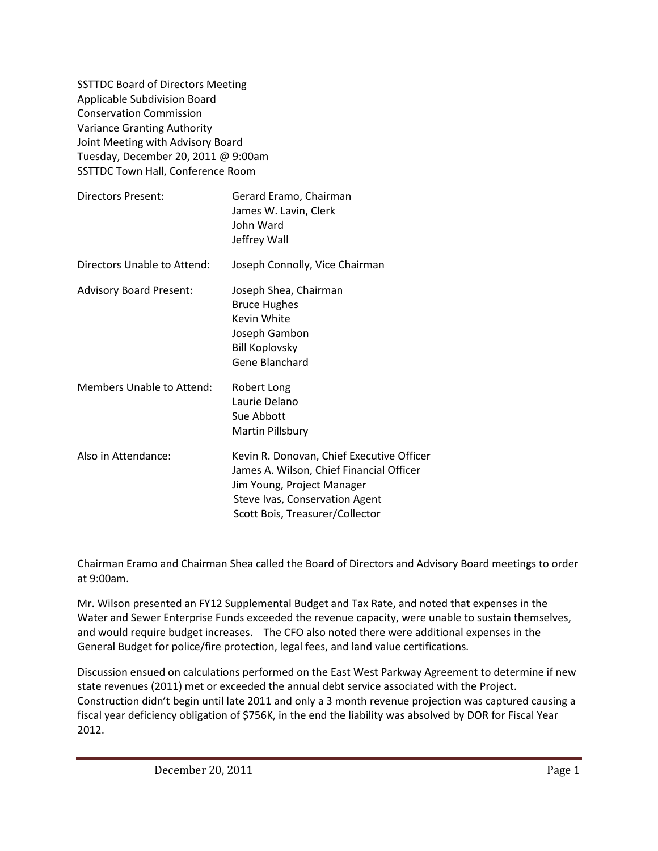SSTTDC Board of Directors Meeting Applicable Subdivision Board Conservation Commission Variance Granting Authority Joint Meeting with Advisory Board Tuesday, December 20, 2011 @ 9:00am SSTTDC Town Hall, Conference Room

| Directors Present:               | Gerard Eramo, Chairman<br>James W. Lavin, Clerk<br>John Ward<br>Jeffrey Wall                                                                                                             |
|----------------------------------|------------------------------------------------------------------------------------------------------------------------------------------------------------------------------------------|
| Directors Unable to Attend:      | Joseph Connolly, Vice Chairman                                                                                                                                                           |
| <b>Advisory Board Present:</b>   | Joseph Shea, Chairman<br><b>Bruce Hughes</b><br>Kevin White<br>Joseph Gambon<br><b>Bill Koplovsky</b><br>Gene Blanchard                                                                  |
| <b>Members Unable to Attend:</b> | Robert Long<br>Laurie Delano<br>Sue Abbott<br>Martin Pillsbury                                                                                                                           |
| Also in Attendance:              | Kevin R. Donovan, Chief Executive Officer<br>James A. Wilson, Chief Financial Officer<br>Jim Young, Project Manager<br>Steve Ivas, Conservation Agent<br>Scott Bois, Treasurer/Collector |

Chairman Eramo and Chairman Shea called the Board of Directors and Advisory Board meetings to order at 9:00am.

Mr. Wilson presented an FY12 Supplemental Budget and Tax Rate, and noted that expenses in the Water and Sewer Enterprise Funds exceeded the revenue capacity, were unable to sustain themselves, and would require budget increases. The CFO also noted there were additional expenses in the General Budget for police/fire protection, legal fees, and land value certifications.

Discussion ensued on calculations performed on the East West Parkway Agreement to determine if new state revenues (2011) met or exceeded the annual debt service associated with the Project. Construction didn't begin until late 2011 and only a 3 month revenue projection was captured causing a fiscal year deficiency obligation of \$756K, in the end the liability was absolved by DOR for Fiscal Year 2012.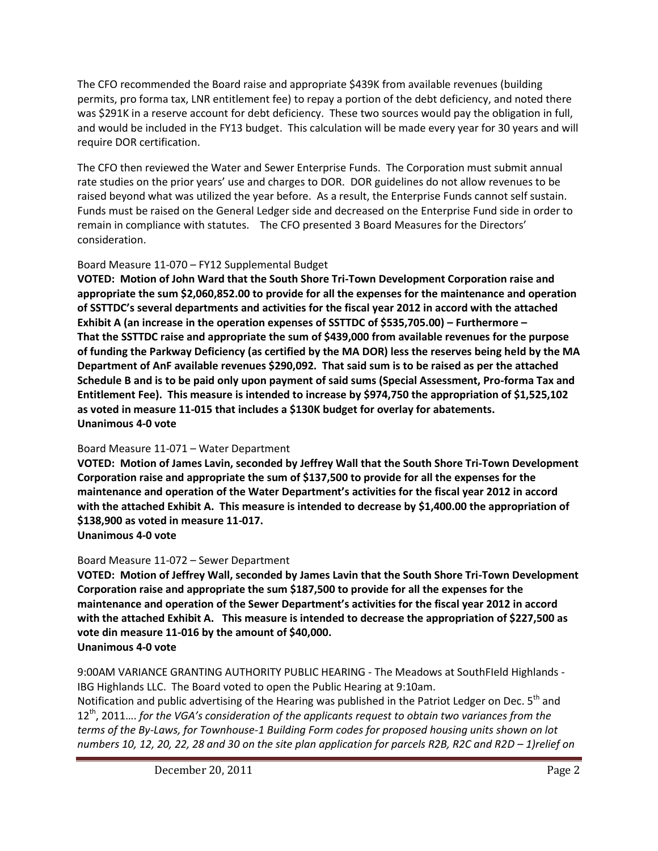The CFO recommended the Board raise and appropriate \$439K from available revenues (building permits, pro forma tax, LNR entitlement fee) to repay a portion of the debt deficiency, and noted there was \$291K in a reserve account for debt deficiency. These two sources would pay the obligation in full, and would be included in the FY13 budget. This calculation will be made every year for 30 years and will require DOR certification.

The CFO then reviewed the Water and Sewer Enterprise Funds. The Corporation must submit annual rate studies on the prior years' use and charges to DOR. DOR guidelines do not allow revenues to be raised beyond what was utilized the year before. As a result, the Enterprise Funds cannot self sustain. Funds must be raised on the General Ledger side and decreased on the Enterprise Fund side in order to remain in compliance with statutes. The CFO presented 3 Board Measures for the Directors' consideration.

# Board Measure 11-070 – FY12 Supplemental Budget

**VOTED: Motion of John Ward that the South Shore Tri-Town Development Corporation raise and appropriate the sum \$2,060,852.00 to provide for all the expenses for the maintenance and operation of SSTTDC's several departments and activities for the fiscal year 2012 in accord with the attached Exhibit A (an increase in the operation expenses of SSTTDC of \$535,705.00) – Furthermore – That the SSTTDC raise and appropriate the sum of \$439,000 from available revenues for the purpose of funding the Parkway Deficiency (as certified by the MA DOR) less the reserves being held by the MA Department of AnF available revenues \$290,092. That said sum is to be raised as per the attached Schedule B and is to be paid only upon payment of said sums (Special Assessment, Pro-forma Tax and Entitlement Fee). This measure is intended to increase by \$974,750 the appropriation of \$1,525,102 as voted in measure 11-015 that includes a \$130K budget for overlay for abatements. Unanimous 4-0 vote**

# Board Measure 11-071 – Water Department

**VOTED: Motion of James Lavin, seconded by Jeffrey Wall that the South Shore Tri-Town Development Corporation raise and appropriate the sum of \$137,500 to provide for all the expenses for the maintenance and operation of the Water Department's activities for the fiscal year 2012 in accord with the attached Exhibit A. This measure is intended to decrease by \$1,400.00 the appropriation of \$138,900 as voted in measure 11-017.**

**Unanimous 4-0 vote**

# Board Measure 11-072 – Sewer Department

**VOTED: Motion of Jeffrey Wall, seconded by James Lavin that the South Shore Tri-Town Development Corporation raise and appropriate the sum \$187,500 to provide for all the expenses for the maintenance and operation of the Sewer Department's activities for the fiscal year 2012 in accord with the attached Exhibit A. This measure is intended to decrease the appropriation of \$227,500 as vote din measure 11-016 by the amount of \$40,000. Unanimous 4-0 vote**

9:00AM VARIANCE GRANTING AUTHORITY PUBLIC HEARING - The Meadows at SouthFIeld Highlands - IBG Highlands LLC. The Board voted to open the Public Hearing at 9:10am.

Notification and public advertising of the Hearing was published in the Patriot Ledger on Dec. 5<sup>th</sup> and 12th, 2011…. *for the VGA's consideration of the applicants request to obtain two variances from the terms of the By-Laws, for Townhouse-1 Building Form codes for proposed housing units shown on lot numbers 10, 12, 20, 22, 28 and 30 on the site plan application for parcels R2B, R2C and R2D - 1)relief on*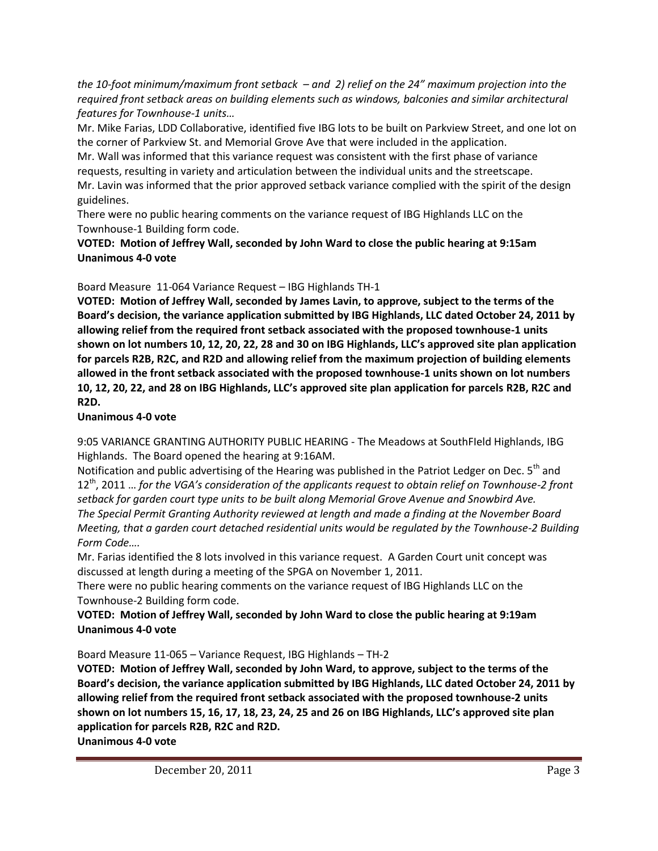*the 10-foot minimum/maximum front setback – and 2) relief on the 24" maximum projection into the required front setback areas on building elements such as windows, balconies and similar architectural features for Townhouse-1 units…*

Mr. Mike Farias, LDD Collaborative, identified five IBG lots to be built on Parkview Street, and one lot on the corner of Parkview St. and Memorial Grove Ave that were included in the application.

Mr. Wall was informed that this variance request was consistent with the first phase of variance requests, resulting in variety and articulation between the individual units and the streetscape.

Mr. Lavin was informed that the prior approved setback variance complied with the spirit of the design guidelines.

There were no public hearing comments on the variance request of IBG Highlands LLC on the Townhouse-1 Building form code.

## **VOTED: Motion of Jeffrey Wall, seconded by John Ward to close the public hearing at 9:15am Unanimous 4-0 vote**

# Board Measure 11-064 Variance Request – IBG Highlands TH-1

**VOTED: Motion of Jeffrey Wall, seconded by James Lavin, to approve, subject to the terms of the Board's decision, the variance application submitted by IBG Highlands, LLC dated October 24, 2011 by allowing relief from the required front setback associated with the proposed townhouse-1 units shown on lot numbers 10, 12, 20, 22, 28 and 30 on IBG Highlands, LLC's approved site plan application for parcels R2B, R2C, and R2D and allowing relief from the maximum projection of building elements allowed in the front setback associated with the proposed townhouse-1 units shown on lot numbers 10, 12, 20, 22, and 28 on IBG Highlands, LLC's approved site plan application for parcels R2B, R2C and R2D.**

# **Unanimous 4-0 vote**

9:05 VARIANCE GRANTING AUTHORITY PUBLIC HEARING - The Meadows at SouthFIeld Highlands, IBG Highlands. The Board opened the hearing at 9:16AM.

Notification and public advertising of the Hearing was published in the Patriot Ledger on Dec. 5<sup>th</sup> and 12th, 2011 … *for the VGA's consideration of the applicants request to obtain relief on Townhouse-2 front setback for garden court type units to be built along Memorial Grove Avenue and Snowbird Ave. The Special Permit Granting Authority reviewed at length and made a finding at the November Board Meeting, that a garden court detached residential units would be regulated by the Townhouse-2 Building Form Code….*

Mr. Farias identified the 8 lots involved in this variance request. A Garden Court unit concept was discussed at length during a meeting of the SPGA on November 1, 2011.

There were no public hearing comments on the variance request of IBG Highlands LLC on the Townhouse-2 Building form code.

# **VOTED: Motion of Jeffrey Wall, seconded by John Ward to close the public hearing at 9:19am Unanimous 4-0 vote**

Board Measure 11-065 – Variance Request, IBG Highlands – TH-2

**VOTED: Motion of Jeffrey Wall, seconded by John Ward, to approve, subject to the terms of the Board's decision, the variance application submitted by IBG Highlands, LLC dated October 24, 2011 by allowing relief from the required front setback associated with the proposed townhouse-2 units shown on lot numbers 15, 16, 17, 18, 23, 24, 25 and 26 on IBG Highlands, LLC's approved site plan application for parcels R2B, R2C and R2D. Unanimous 4-0 vote**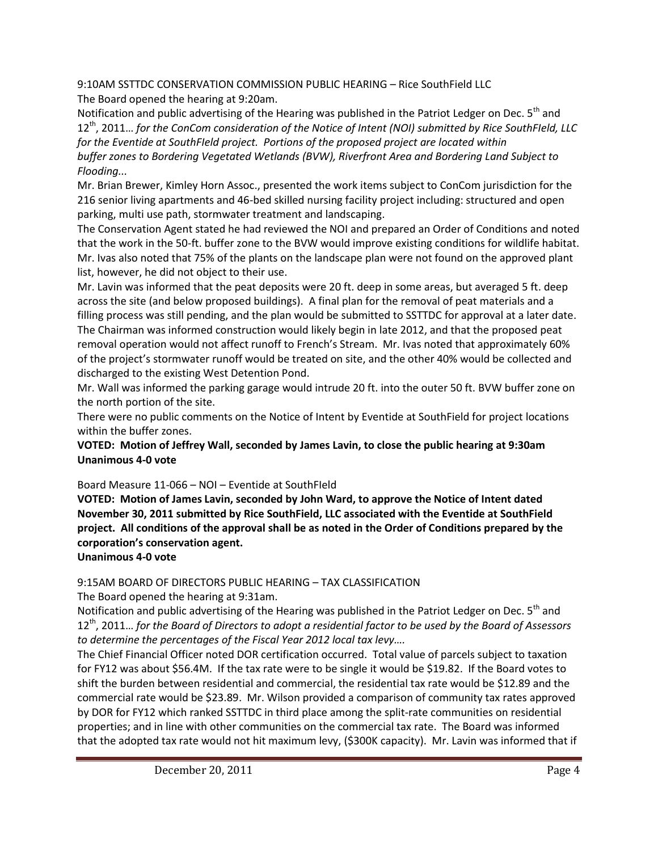9:10AM SSTTDC CONSERVATION COMMISSION PUBLIC HEARING – Rice SouthField LLC The Board opened the hearing at 9:20am.

Notification and public advertising of the Hearing was published in the Patriot Ledger on Dec. 5<sup>th</sup> and 12th, 2011… *for the ConCom consideration of the Notice of Intent (NOI) submitted by Rice SouthFIeld, LLC for the Eventide at SouthFIeld project. Portions of the proposed project are located within buffer zones to Bordering Vegetated Wetlands (BVW), Riverfront Area and Bordering Land Subject to Flooding...*

Mr. Brian Brewer, Kimley Horn Assoc., presented the work items subject to ConCom jurisdiction for the 216 senior living apartments and 46-bed skilled nursing facility project including: structured and open parking, multi use path, stormwater treatment and landscaping.

The Conservation Agent stated he had reviewed the NOI and prepared an Order of Conditions and noted that the work in the 50-ft. buffer zone to the BVW would improve existing conditions for wildlife habitat. Mr. Ivas also noted that 75% of the plants on the landscape plan were not found on the approved plant list, however, he did not object to their use.

Mr. Lavin was informed that the peat deposits were 20 ft. deep in some areas, but averaged 5 ft. deep across the site (and below proposed buildings). A final plan for the removal of peat materials and a filling process was still pending, and the plan would be submitted to SSTTDC for approval at a later date. The Chairman was informed construction would likely begin in late 2012, and that the proposed peat removal operation would not affect runoff to French's Stream. Mr. Ivas noted that approximately 60% of the project's stormwater runoff would be treated on site, and the other 40% would be collected and discharged to the existing West Detention Pond.

Mr. Wall was informed the parking garage would intrude 20 ft. into the outer 50 ft. BVW buffer zone on the north portion of the site.

There were no public comments on the Notice of Intent by Eventide at SouthField for project locations within the buffer zones.

**VOTED: Motion of Jeffrey Wall, seconded by James Lavin, to close the public hearing at 9:30am Unanimous 4-0 vote**

Board Measure 11-066 – NOI – Eventide at SouthFIeld

**VOTED: Motion of James Lavin, seconded by John Ward, to approve the Notice of Intent dated November 30, 2011 submitted by Rice SouthField, LLC associated with the Eventide at SouthField project. All conditions of the approval shall be as noted in the Order of Conditions prepared by the corporation's conservation agent.**

**Unanimous 4-0 vote**

## 9:15AM BOARD OF DIRECTORS PUBLIC HEARING – TAX CLASSIFICATION

The Board opened the hearing at 9:31am.

Notification and public advertising of the Hearing was published in the Patriot Ledger on Dec. 5<sup>th</sup> and 12th, 2011… *for the Board of Directors to adopt a residential factor to be used by the Board of Assessors to determine the percentages of the Fiscal Year 2012 local tax levy….*

The Chief Financial Officer noted DOR certification occurred. Total value of parcels subject to taxation for FY12 was about \$56.4M. If the tax rate were to be single it would be \$19.82. If the Board votes to shift the burden between residential and commercial, the residential tax rate would be \$12.89 and the commercial rate would be \$23.89. Mr. Wilson provided a comparison of community tax rates approved by DOR for FY12 which ranked SSTTDC in third place among the split-rate communities on residential properties; and in line with other communities on the commercial tax rate. The Board was informed that the adopted tax rate would not hit maximum levy, (\$300K capacity). Mr. Lavin was informed that if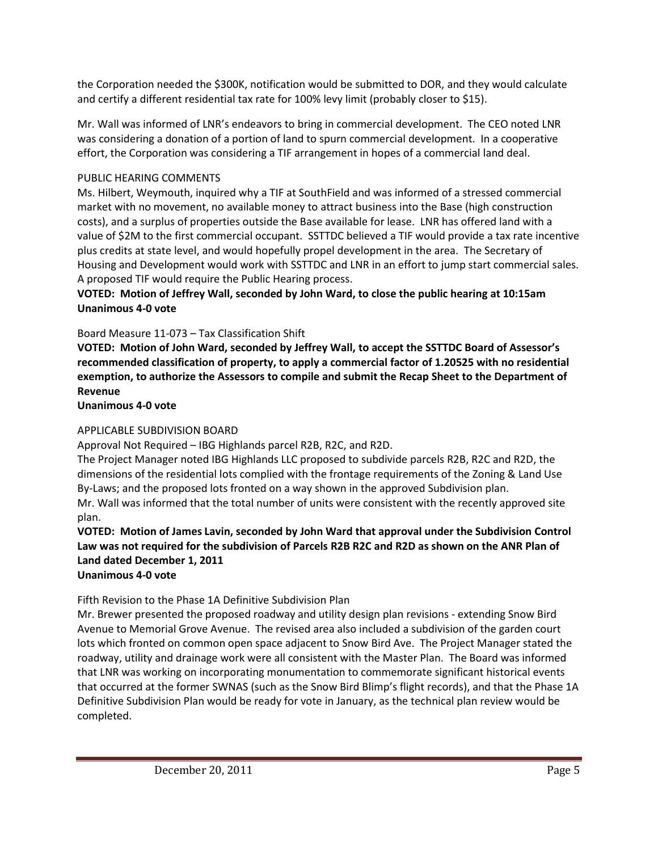the Corporation needed the \$300K, notification would be submitted to DOR, and they would calculate and certify a different residential tax rate for 100% levy limit (probably closer to \$15).

Mr. Wall was informed of LNR's endeavors to bring in commercial development. The CEO noted LNR was considering a donation of a portion of land to spurn commercial development. In a cooperative effort, the Corporation was considering a TIF arrangement in hopes of a commercial land deal.

## PUBLIC HEARING COMMENTS

Ms. Hilbert, Weymouth, inquired why a TIF at SouthField and was informed of a stressed commercial market with no movement, no available money to attract business into the Base (high construction costs), and a surplus of properties outside the Base available for lease. LNR has offered land with a value of \$2M to the first commercial occupant. SSTTDC believed a TIF would provide a tax rate incentive plus credits at state level, and would hopefully propel development in the area. The Secretary of Housing and Development would work with SSTTDC and LNR in an effort to jump start commercial sales. A proposed TIF would require the Public Hearing process.

## **VOTED: Motion of Jeffrey Wall, seconded by John Ward, to close the public hearing at 10:15am Unanimous 4-0 vote**

## Board Measure 11-073 – Tax Classification Shift

**VOTED: Motion of John Ward, seconded by Jeffrey Wall, to accept the SSTTDC Board of Assessor's recommended classification of property, to apply a commercial factor of 1.20525 with no residential exemption, to authorize the Assessors to compile and submit the Recap Sheet to the Department of Revenue**

#### **Unanimous 4-0 vote**

## APPLICABLE SUBDIVISION BOARD

Approval Not Required – IBG Highlands parcel R2B, R2C, and R2D.

The Project Manager noted IBG Highlands LLC proposed to subdivide parcels R2B, R2C and R2D, the dimensions of the residential lots complied with the frontage requirements of the Zoning & Land Use By-Laws; and the proposed lots fronted on a way shown in the approved Subdivision plan. Mr. Wall was informed that the total number of units were consistent with the recently approved site plan.

# **VOTED: Motion of James Lavin, seconded by John Ward that approval under the Subdivision Control Law was not required for the subdivision of Parcels R2B R2C and R2D as shown on the ANR Plan of Land dated December 1, 2011**

# **Unanimous 4-0 vote**

# Fifth Revision to the Phase 1A Definitive Subdivision Plan

Mr. Brewer presented the proposed roadway and utility design plan revisions - extending Snow Bird Avenue to Memorial Grove Avenue. The revised area also included a subdivision of the garden court lots which fronted on common open space adjacent to Snow Bird Ave. The Project Manager stated the roadway, utility and drainage work were all consistent with the Master Plan. The Board was informed that LNR was working on incorporating monumentation to commemorate significant historical events that occurred at the former SWNAS (such as the Snow Bird Blimp's flight records), and that the Phase 1A Definitive Subdivision Plan would be ready for vote in January, as the technical plan review would be completed.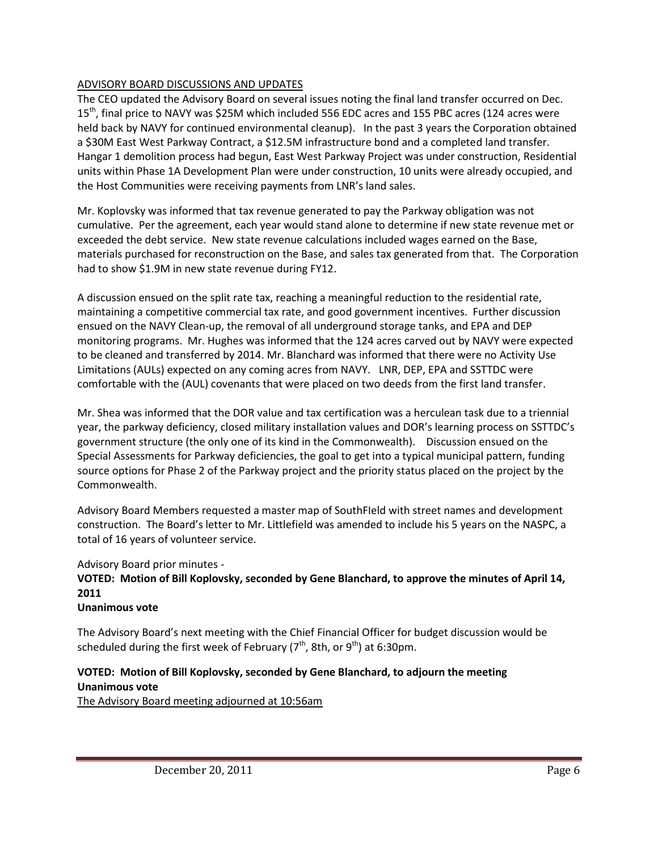### ADVISORY BOARD DISCUSSIONS AND UPDATES

The CEO updated the Advisory Board on several issues noting the final land transfer occurred on Dec. 15<sup>th</sup>, final price to NAVY was \$25M which included 556 EDC acres and 155 PBC acres (124 acres were held back by NAVY for continued environmental cleanup). In the past 3 years the Corporation obtained a \$30M East West Parkway Contract, a \$12.5M infrastructure bond and a completed land transfer. Hangar 1 demolition process had begun, East West Parkway Project was under construction, Residential units within Phase 1A Development Plan were under construction, 10 units were already occupied, and the Host Communities were receiving payments from LNR's land sales.

Mr. Koplovsky was informed that tax revenue generated to pay the Parkway obligation was not cumulative. Per the agreement, each year would stand alone to determine if new state revenue met or exceeded the debt service. New state revenue calculations included wages earned on the Base, materials purchased for reconstruction on the Base, and sales tax generated from that. The Corporation had to show \$1.9M in new state revenue during FY12.

A discussion ensued on the split rate tax, reaching a meaningful reduction to the residential rate, maintaining a competitive commercial tax rate, and good government incentives. Further discussion ensued on the NAVY Clean-up, the removal of all underground storage tanks, and EPA and DEP monitoring programs. Mr. Hughes was informed that the 124 acres carved out by NAVY were expected to be cleaned and transferred by 2014. Mr. Blanchard was informed that there were no Activity Use Limitations (AULs) expected on any coming acres from NAVY. LNR, DEP, EPA and SSTTDC were comfortable with the (AUL) covenants that were placed on two deeds from the first land transfer.

Mr. Shea was informed that the DOR value and tax certification was a herculean task due to a triennial year, the parkway deficiency, closed military installation values and DOR's learning process on SSTTDC's government structure (the only one of its kind in the Commonwealth). Discussion ensued on the Special Assessments for Parkway deficiencies, the goal to get into a typical municipal pattern, funding source options for Phase 2 of the Parkway project and the priority status placed on the project by the Commonwealth.

Advisory Board Members requested a master map of SouthFIeld with street names and development construction. The Board's letter to Mr. Littlefield was amended to include his 5 years on the NASPC, a total of 16 years of volunteer service.

Advisory Board prior minutes -

# **VOTED: Motion of Bill Koplovsky, seconded by Gene Blanchard, to approve the minutes of April 14, 2011**

#### **Unanimous vote**

The Advisory Board's next meeting with the Chief Financial Officer for budget discussion would be scheduled during the first week of February ( $7<sup>th</sup>$ , 8th, or  $9<sup>th</sup>$ ) at 6:30pm.

## **VOTED: Motion of Bill Koplovsky, seconded by Gene Blanchard, to adjourn the meeting Unanimous vote**

The Advisory Board meeting adjourned at 10:56am